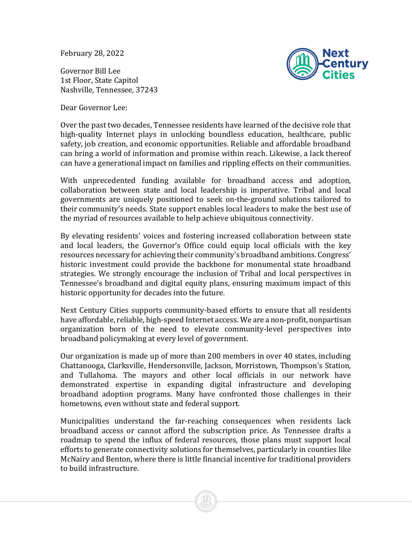February 28, 2022

Governor Bill Lee 1st Floor, State Capitol Nashville, Tennessee, 37243

Dear Governor Lee:



Over the past two decades, Tennessee residents have learned of the decisive role that high-quality Internet plays in unlocking boundless education, healthcare, public safety, job creation, and economic opportunities. Reliable and affordable broadband can bring a world of information and promise within reach. Likewise, a lack thereof can have a generational impact on families and rippling effects on their communities.

With unprecedented funding available for broadband access and adoption, collaboration between state and local leadership is imperative. Tribal and local governments are uniquely positioned to seek on-the-ground solutions tailored to their community's needs. State support enables local leaders to make the best use of the myriad of resources available to help achieve ubiquitous connectivity.

By elevating residents' voices and fostering increased collaboration between state and local leaders, the Governor's Office could equip local officials with the key resources necessary for achieving their community's broadband ambitions. Congress' historic investment could provide the backbone for monumental state broadband strategies. We strongly encourage the inclusion of Tribal and local perspectives in Tennessee's broadband and digital equity plans, ensuring maximum impact of this historic opportunity for decades into the future.

Next Century Cities supports community-based efforts to ensure that all residents have affordable, reliable, high-speed Internet access. We are a non-profit, nonpartisan organization born of the need to elevate community-level perspectives into broadband policymaking at every level of government.

Our organization is made up of more than 200 members in over 40 states, including Chattanooga, Clarksville, Hendersonville, Jackson, Morristown, Thompson's Station, and Tullahoma. The mayors and other local officials in our network have demonstrated expertise in expanding digital infrastructure and developing broadband adoption programs. Many have confronted those challenges in their hometowns, even without state and federal support.

Municipalities understand the far-reaching consequences when residents lack broadband access or cannot afford the subscription price. As Tennessee drafts a roadmap to spend the influx of federal resources, those plans must support local efforts to generate connectivity solutions for themselves, particularly in counties like McNairy and Benton, where there is little financial incentive for traditional providers to build infrastructure.